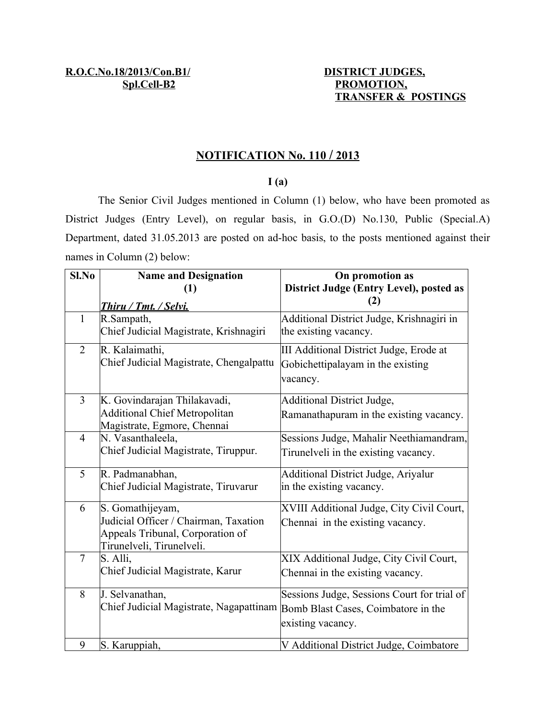# **PROMOTION, TRANSFER & POSTINGS**

#### **N OTIFICATION No. 110 / 2013**

### **I (a)**

The Senior Civil Judges mentioned in Column (1) below, who have been promoted as District Judges (Entry Level), on regular basis, in G.O.(D) No.130, Public (Special.A) Department, dated 31.05.2013 are posted on ad-hoc basis, to the posts mentioned against their names in Column (2) below:

| Sl.No          | <b>Name and Designation</b>                                                 | On promotion as                             |
|----------------|-----------------------------------------------------------------------------|---------------------------------------------|
|                | $\left(1\right)$                                                            | District Judge (Entry Level), posted as     |
|                | Thiru / Tmt. / Selvi.                                                       | (2)                                         |
| 1              | R.Sampath,                                                                  | Additional District Judge, Krishnagiri in   |
|                | Chief Judicial Magistrate, Krishnagiri                                      | the existing vacancy.                       |
| $\overline{2}$ | R. Kalaimathi,                                                              | III Additional District Judge, Erode at     |
|                | Chief Judicial Magistrate, Chengalpattu                                     | Gobichettipalayam in the existing           |
|                |                                                                             | vacancy.                                    |
| 3              | K. Govindarajan Thilakavadi,                                                | <b>Additional District Judge,</b>           |
|                | <b>Additional Chief Metropolitan</b>                                        | Ramanathapuram in the existing vacancy.     |
|                | Magistrate, Egmore, Chennai                                                 |                                             |
| $\overline{4}$ | N. Vasanthaleela,                                                           | Sessions Judge, Mahalir Neethiamandram,     |
|                | Chief Judicial Magistrate, Tiruppur.                                        | Tirunelveli in the existing vacancy.        |
| 5              | R. Padmanabhan,                                                             | <b>Additional District Judge, Ariyalur</b>  |
|                | Chief Judicial Magistrate, Tiruvarur                                        | in the existing vacancy.                    |
| 6              | S. Gomathijeyam,                                                            | XVIII Additional Judge, City Civil Court,   |
|                | Judicial Officer / Chairman, Taxation                                       | Chennai in the existing vacancy.            |
|                | Appeals Tribunal, Corporation of                                            |                                             |
|                | Tirunelveli, Tirunelveli.                                                   |                                             |
| $\overline{7}$ | S. Alli,                                                                    | XIX Additional Judge, City Civil Court,     |
|                | Chief Judicial Magistrate, Karur                                            | Chennai in the existing vacancy.            |
| 8              | J. Selvanathan,                                                             | Sessions Judge, Sessions Court for trial of |
|                | Chief Judicial Magistrate, Nagapattinam Bomb Blast Cases, Coimbatore in the |                                             |
|                |                                                                             | existing vacancy.                           |
| 9              | S. Karuppiah,                                                               | V Additional District Judge, Coimbatore     |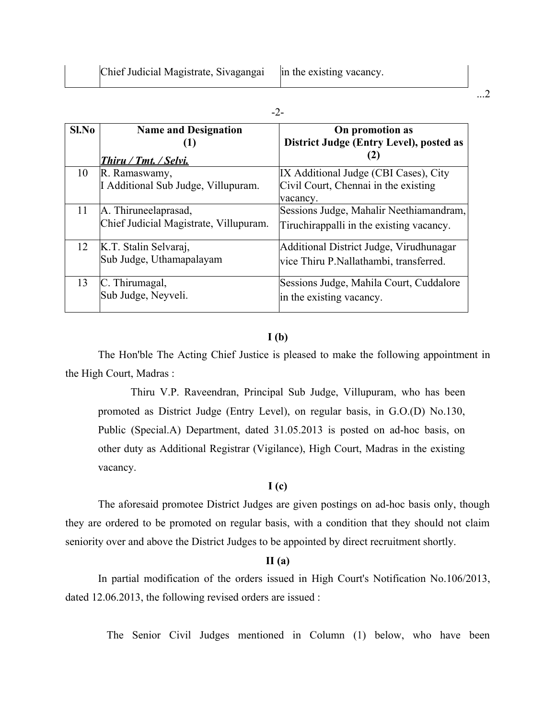| Sl.No | <b>Name and Designation</b>            | On promotion as                          |
|-------|----------------------------------------|------------------------------------------|
|       | (1)                                    | District Judge (Entry Level), posted as  |
|       | Thiru / Tmt. / Selvi.                  | (2)                                      |
| 10    | R. Ramaswamy,                          | IX Additional Judge (CBI Cases), City    |
|       | I Additional Sub Judge, Villupuram.    | Civil Court, Chennai in the existing     |
|       |                                        | vacancy.                                 |
| 11    | A. Thiruneelaprasad,                   | Sessions Judge, Mahalir Neethiamandram,  |
|       | Chief Judicial Magistrate, Villupuram. | Tiruchirappalli in the existing vacancy. |
| 12    | K.T. Stalin Selvaraj,                  | Additional District Judge, Virudhunagar  |
|       | Sub Judge, Uthamapalayam               | vice Thiru P. Nallathambi, transferred.  |
| 13    | C. Thirumagal,                         | Sessions Judge, Mahila Court, Cuddalore  |
|       | Sub Judge, Neyveli.                    | in the existing vacancy.                 |

#### **I (b)**

The Hon'ble The Acting Chief Justice is pleased to make the following appointment in the High Court, Madras :

Thiru V.P. Raveendran, Principal Sub Judge, Villupuram, who has been promoted as District Judge (Entry Level), on regular basis, in G.O.(D) No.130, Public (Special.A) Department, dated 31.05.2013 is posted on ad-hoc basis, on other duty as Additional Registrar (Vigilance), High Court, Madras in the existing vacancy.

#### **I (c)**

The aforesaid promotee District Judges are given postings on ad-hoc basis only, though they are ordered to be promoted on regular basis, with a condition that they should not claim seniority over and above the District Judges to be appointed by direct recruitment shortly.

#### **II (a)**

In partial modification of the orders issued in High Court's Notification No.106/2013, dated 12.06.2013, the following revised orders are issued :

The Senior Civil Judges mentioned in Column (1) below, who have been

...2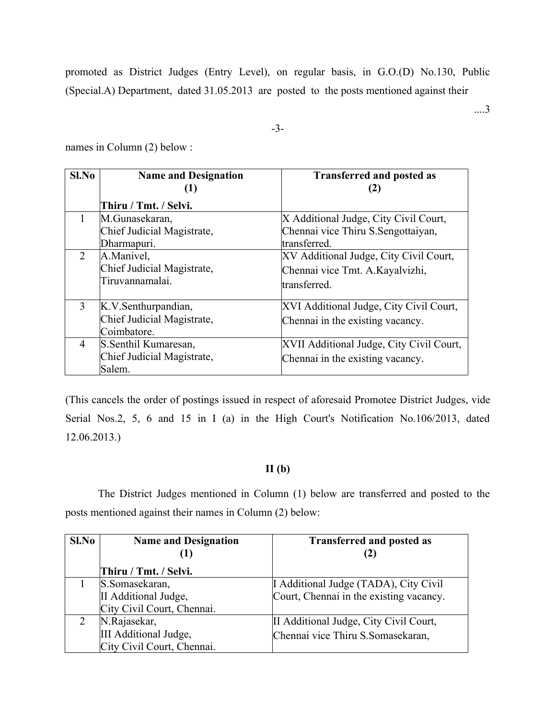promoted as District Judges (Entry Level), on regular basis, in G.O.(D) No.130, Public (Special.A) Department, dated 31.05.2013 are posted to the posts mentioned against their

....3

-3-

names in Column (2) below :

| $Sl$ . No      | <b>Name and Designation</b> | <b>Transferred and posted as</b><br>(2)  |
|----------------|-----------------------------|------------------------------------------|
|                | Thiru / Tmt. / Selvi.       |                                          |
| 1              | M.Gunasekaran,              | X Additional Judge, City Civil Court,    |
|                | Chief Judicial Magistrate,  | Chennai vice Thiru S. Sengottaiyan,      |
|                | Dharmapuri.                 | transferred.                             |
| $\overline{2}$ | A.Manivel,                  | XV Additional Judge, City Civil Court,   |
|                | Chief Judicial Magistrate,  | Chennai vice Tmt. A. Kayalvizhi,         |
|                | Tiruvannamalai.             | transferred.                             |
| 3              | K.V.Senthurpandian,         | XVI Additional Judge, City Civil Court,  |
|                | Chief Judicial Magistrate,  | Chennai in the existing vacancy.         |
|                | Coimbatore.                 |                                          |
| 4              | S. Senthil Kumaresan,       | XVII Additional Judge, City Civil Court, |
|                | Chief Judicial Magistrate,  | Chennai in the existing vacancy.         |
|                | Salem.                      |                                          |

(This cancels the order of postings issued in respect of aforesaid Promotee District Judges, vide Serial Nos.2, 5, 6 and 15 in I (a) in the High Court's Notification No.106/2013, dated 12.06.2013.)

#### **II (b)**

The District Judges mentioned in Column (1) below are transferred and posted to the posts mentioned against their names in Column (2) below:

| Sl.No | <b>Name and Designation</b> | <b>Transferred and posted as</b>        |
|-------|-----------------------------|-----------------------------------------|
|       |                             | (2)                                     |
|       | Thiru / Tmt. / Selvi.       |                                         |
|       | S. Somasekaran,             | I Additional Judge (TADA), City Civil   |
|       | II Additional Judge,        | Court, Chennai in the existing vacancy. |
|       | City Civil Court, Chennai.  |                                         |
|       | N.Rajasekar,                | II Additional Judge, City Civil Court,  |
|       | III Additional Judge,       | Chennai vice Thiru S.Somasekaran,       |
|       | City Civil Court, Chennai.  |                                         |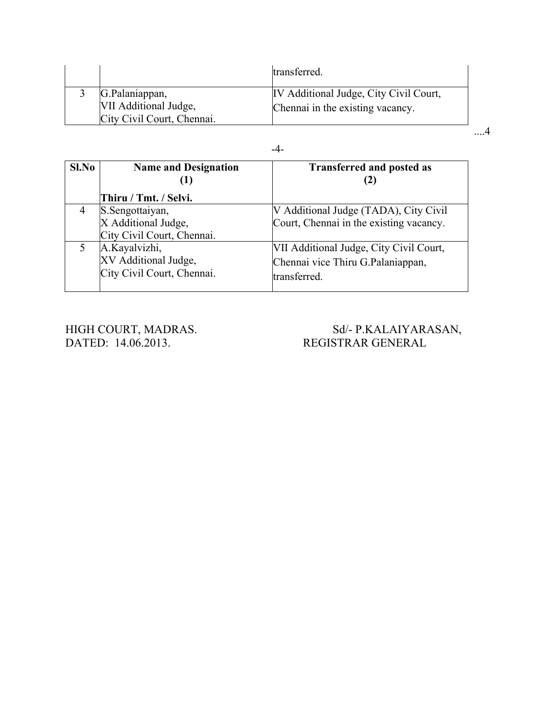|                                                                       | transferred.                                                               |  |
|-----------------------------------------------------------------------|----------------------------------------------------------------------------|--|
| G.Palaniappan,<br>VII Additional Judge,<br>City Civil Court, Chennai. | IV Additional Judge, City Civil Court,<br>Chennai in the existing vacancy. |  |
|                                                                       |                                                                            |  |

| Sl.No | <b>Name and Designation</b><br>$\bf(1)$ | <b>Transferred and posted as</b>        |
|-------|-----------------------------------------|-----------------------------------------|
|       | Thiru / Tmt. / Selvi.                   |                                         |
|       | S. Sengottaiyan,                        | V Additional Judge (TADA), City Civil   |
|       | X Additional Judge,                     | Court, Chennai in the existing vacancy. |
|       | City Civil Court, Chennai.              |                                         |
| 5     | A.Kayalvizhi,                           | VII Additional Judge, City Civil Court, |
|       | XV Additional Judge,                    | Chennai vice Thiru G.Palaniappan,       |
|       | City Civil Court, Chennai.              | transferred.                            |

## HIGH COURT, MADRAS. Sd/- P.KALAIYARASAN, DATED: 14.06.2013. States and states are stated as a state of the states and states are stated by REGISTRAR GENERAL REGISTRAR GENERAL

#### -4-